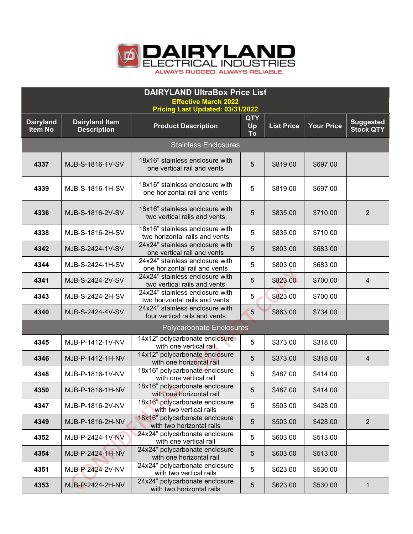

| <b>DAIRYLAND UltraBox Price List</b>                            |                                             |                                                                   |                               |                   |                   |                                      |  |  |
|-----------------------------------------------------------------|---------------------------------------------|-------------------------------------------------------------------|-------------------------------|-------------------|-------------------|--------------------------------------|--|--|
| <b>Effective March 2022</b><br>Pricing Last Updated: 03/31/2022 |                                             |                                                                   |                               |                   |                   |                                      |  |  |
| <b>Dairyland</b><br><b>Item No</b>                              | <b>Dairyland Item</b><br><b>Description</b> | <b>Product Description</b>                                        | <b>QTY</b><br>Up<br><b>To</b> | <b>List Price</b> | <b>Your Price</b> | <b>Suggested</b><br><b>Stock QTY</b> |  |  |
| <b>Stainless Enclosures</b>                                     |                                             |                                                                   |                               |                   |                   |                                      |  |  |
| 4337                                                            | MJB-S-1816-1V-SV                            | 18x16" stainless enclosure with<br>one vertical rail and vents    | 5                             | \$819.00          | \$697.00          |                                      |  |  |
| 4339                                                            | MJB-S-1816-1H-SV                            | 18x16" stainless enclosure with<br>one horizontal rail and vents  | 5                             | \$819.00          | \$697.00          |                                      |  |  |
| 4336                                                            | MJB-S-1816-2V-SV                            | 18x16" stainless enclosure with<br>two vertical rails and vents   | 5                             | \$835.00          | \$710.00          | $\overline{2}$                       |  |  |
| 4338                                                            | MJB-S-1816-2H-SV                            | 18x16" stainless enclosure with<br>two horizontal rails and vents | 5                             | \$835.00          | \$710.00          |                                      |  |  |
| 4342                                                            | MJB-S-2424-1V-SV                            | 24x24" stainless enclosure with<br>one vertical rail and vents    | 5                             | \$803.00          | \$683.00          |                                      |  |  |
| 4344                                                            | MJB-S-2424-1H-SV                            | 24x24" stainless enclosure with<br>one horizontal rail and vents  | 5                             | \$803.00          | \$683.00          |                                      |  |  |
| 4341                                                            | MJB-S-2424-2V-SV                            | 24x24" stainless enclosure with<br>two vertical rails and vents   | 5                             | \$823.00          | \$700.00          | 4                                    |  |  |
| 4343                                                            | MJB-S-2424-2H-SV                            | 24x24" stainless enclosure with<br>two horizontal rails and vents | 5                             | \$823.00          | \$700.00          |                                      |  |  |
| 4340                                                            | MJB-S-2424-4V-SV                            | 24x24" stainless enclosure with<br>four vertical rails and vents  | 5                             | \$863.00          | \$734.00          |                                      |  |  |
|                                                                 |                                             | <b>Polycarbonate Enclosures</b>                                   |                               |                   |                   |                                      |  |  |
| 4345                                                            | MJB-P-1412-1V-NV                            | 14x12" polycarbonate enclosure<br>with one vertical rail          | 5                             | \$373.00          | \$318.00          |                                      |  |  |
| 4346                                                            | MJB-P-1412-1H-NV                            | 14x12" polycarbonate enclosure<br>with one horizontal rail        | 5                             | \$373.00          | \$318.00          | 4                                    |  |  |
| 4348                                                            | MJB-P-1816-1V-NV                            | 18x16" polycarbonate enclosure<br>with one vertical rail          | 5                             | \$487.00          | \$414.00          |                                      |  |  |
| 4350                                                            | MJB-P-1816-1H-NV                            | 18x16" polycarbonate enclosure<br>with one horizontal rail        | 5                             | \$487.00          | \$414.00          |                                      |  |  |
| 4347                                                            | MJB-P-1816-2V-NV                            | 18x16" polycarbonate enclosure<br>with two vertical rails         | 5                             | \$503.00          | \$428.00          |                                      |  |  |
| 4349                                                            | MJB-P-1816-2H-NV                            | 18x16" polycarbonate enclosure<br>with two horizontal rails       | 5                             | \$503.00          | \$428.00          | $\overline{2}$                       |  |  |
| 4352                                                            | MJB-P-2424-1V-NV                            | 24x24" polycarbonate enclosure<br>with one vertical rail          | 5                             | \$603.00          | \$513.00          |                                      |  |  |
| 4354                                                            | MJB-P-2424-1H-NV                            | 24x24" polycarbonate enclosure<br>with one horizontal rail        | $\overline{5}$                | \$603.00          | \$513.00          |                                      |  |  |
| 4351                                                            | MJB-P-2424-2V-NV                            | 24x24" polycarbonate enclosure<br>with two vertical rails         | 5                             | \$623.00          | \$530.00          |                                      |  |  |
| 4353                                                            | MJB-P-2424-2H-NV                            | 24x24" polycarbonate enclosure<br>with two horizontal rails       | 5                             | \$623.00          | \$530.00          | 1                                    |  |  |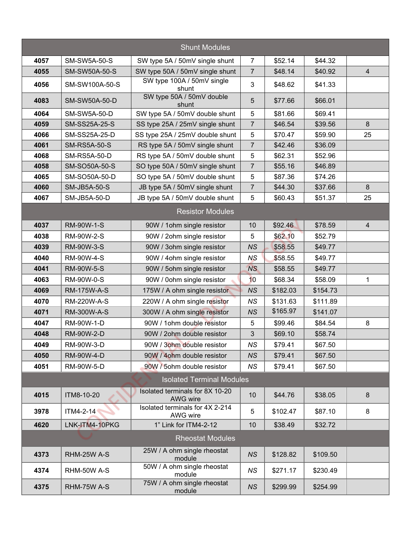|      |                      | <b>Shunt Modules</b>                        |                |          |          |    |
|------|----------------------|---------------------------------------------|----------------|----------|----------|----|
| 4057 | <b>SM-SW5A-50-S</b>  | SW type 5A / 50mV single shunt              | $\overline{7}$ | \$52.14  | \$44.32  |    |
| 4055 | <b>SM-SW50A-50-S</b> | SW type 50A / 50mV single shunt             | $\overline{7}$ | \$48.14  | \$40.92  | 4  |
| 4056 | SM-SW100A-50-S       | SW type 100A / 50mV single<br>shunt         | 3              | \$48.62  | \$41.33  |    |
| 4083 | SM-SW50A-50-D        | SW type 50A / 50mV double<br>shunt          | 5              | \$77.66  | \$66.01  |    |
| 4064 | <b>SM-SW5A-50-D</b>  | SW type 5A / 50mV double shunt              | 5              | \$81.66  | \$69.41  |    |
| 4059 | <b>SM-SS25A-25-S</b> | SS type 25A / 25mV single shunt             | 7              | \$46.54  | \$39.56  | 8  |
| 4066 | SM-SS25A-25-D        | SS type 25A / 25mV double shunt             | 5              | \$70.47  | \$59.90  | 25 |
| 4061 | <b>SM-RS5A-50-S</b>  | RS type 5A / 50mV single shunt              | $\overline{7}$ | \$42.46  | \$36.09  |    |
| 4068 | <b>SM-RS5A-50-D</b>  | RS type 5A / 50mV double shunt              | 5              | \$62.31  | \$52.96  |    |
| 4058 | SM-SO50A-50-S        | SO type 50A / 50mV single shunt             | $\overline{7}$ | \$55.16  | \$46.89  |    |
| 4065 | SM-SO50A-50-D        | SO type 5A / 50mV double shunt              | 5              | \$87.36  | \$74.26  |    |
| 4060 | <b>SM-JB5A-50-S</b>  | JB type 5A / 50mV single shunt              | $\overline{7}$ | \$44.30  | \$37.66  | 8  |
| 4067 | SM-JB5A-50-D         | JB type 5A / 50mV double shunt              | 5              | \$60.43  | \$51.37  | 25 |
|      |                      | <b>Resistor Modules</b>                     |                |          |          |    |
| 4037 | <b>RM-90W-1-S</b>    | 90W / 1ohm single resistor                  | 10             | \$92.46  | \$78.59  | 4  |
| 4038 | RM-90W-2-S           | 90W / 2ohm single resistor                  | 5              | \$62.10  | \$52.79  |    |
| 4039 | RM-90W-3-S           | 90W / 3ohm single resistor                  | <b>NS</b>      | \$58.55  | \$49.77  |    |
| 4040 | <b>RM-90W-4-S</b>    | 90W / 4ohm single resistor                  | <b>NS</b>      | \$58.55  | \$49.77  |    |
| 4041 | <b>RM-90W-5-S</b>    | 90W / 5ohm single resistor                  | <b>NS</b>      | \$58.55  | \$49.77  |    |
| 4063 | <b>RM-90W-0-S</b>    | 90W / 0ohm single resistor                  | 10             | \$68.34  | \$58.09  | 1  |
| 4069 | <b>RM-175W-A-S</b>   | 175W / A ohm single resistor                | <b>NS</b>      | \$182.03 | \$154.73 |    |
| 4070 | <b>RM-220W-A-S</b>   | 220W / A ohm single resistor                | <b>NS</b>      | \$131.63 | \$111.89 |    |
| 4071 | RM-300W-A-S          | 300W / A ohm single resistor                | <b>NS</b>      | \$165.97 | \$141.07 |    |
| 4047 | RM-90W-1-D           | 90W / 1 ohm double resistor                 | 5              | \$99.46  | \$84.54  | 8  |
| 4048 | RM-90W-2-D           | 90W / 2ohm double resistor                  | 3              | \$69.10  | \$58.74  |    |
| 4049 | RM-90W-3-D           | 90W / 3ohm double resistor                  | <b>NS</b>      | \$79.41  | \$67.50  |    |
| 4050 | <b>RM-90W-4-D</b>    | 90W / 4ohm double resistor                  | <b>NS</b>      | \$79.41  | \$67.50  |    |
| 4051 | RM-90W-5-D           | 90W / 5ohm double resistor                  | <b>NS</b>      | \$79.41  | \$67.50  |    |
|      |                      | <b>Isolated Terminal Modules</b>            |                |          |          |    |
| 4015 | ITM8-10-20           | Isolated terminals for 8X 10-20<br>AWG wire | 10             | \$44.76  | \$38.05  | 8  |
| 3978 | ITM4-2-14            | Isolated terminals for 4X 2-214<br>AWG wire | 5              | \$102.47 | \$87.10  | 8  |
| 4620 | LNK-ITM4-10PKG       | 1" Link for ITM4-2-12                       | 10             | \$38.49  | \$32.72  |    |
|      |                      | <b>Rheostat Modules</b>                     |                |          |          |    |
| 4373 | RHM-25W A-S          | 25W / A ohm single rheostat<br>module       | <b>NS</b>      | \$128.82 | \$109.50 |    |
| 4374 | RHM-50W A-S          | 50W / A ohm single rheostat<br>module       | NS.            | \$271.17 | \$230.49 |    |
| 4375 | RHM-75W A-S          | 75W / A ohm single rheostat<br>module       | <b>NS</b>      | \$299.99 | \$254.99 |    |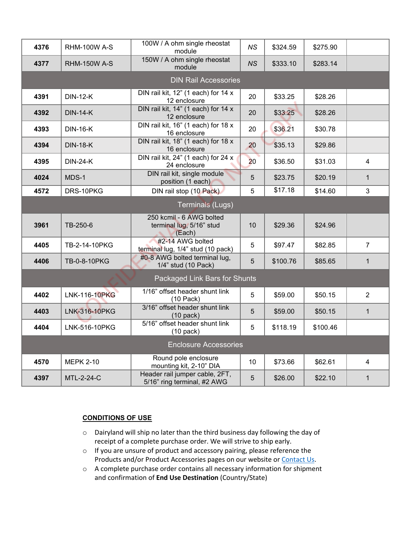| 4376                        | <b>RHM-100W A-S</b>  | 100W / A ohm single rheostat<br>module                         | NS              | \$324.59 | \$275.90 |                         |  |  |
|-----------------------------|----------------------|----------------------------------------------------------------|-----------------|----------|----------|-------------------------|--|--|
| 4377                        | <b>RHM-150W A-S</b>  | 150W / A ohm single rheostat<br>module                         | NS              | \$333.10 | \$283.14 |                         |  |  |
| <b>DIN Rail Accessories</b> |                      |                                                                |                 |          |          |                         |  |  |
| 4391                        | <b>DIN-12-K</b>      | DIN rail kit, 12" (1 each) for 14 x<br>12 enclosure            | 20              | \$33.25  | \$28.26  |                         |  |  |
| 4392                        | <b>DIN-14-K</b>      | DIN rail kit, 14" (1 each) for 14 x<br>12 enclosure            | 20              | \$33.25  | \$28.26  |                         |  |  |
| 4393                        | <b>DIN-16-K</b>      | DIN rail kit, 16" (1 each) for 18 x<br>16 enclosure            | 20              | \$36.21  | \$30.78  |                         |  |  |
| 4394                        | <b>DIN-18-K</b>      | DIN rail kit, 18" (1 each) for 18 x<br>16 enclosure            | 20              | \$35.13  | \$29.86  |                         |  |  |
| 4395                        | <b>DIN-24-K</b>      | DIN rail kit, 24" (1 each) for 24 x<br>24 enclosure            | 20 <sub>2</sub> | \$36.50  | \$31.03  | $\overline{\mathbf{4}}$ |  |  |
| 4024                        | MDS-1                | DIN rail kit, single module<br>position (1 each)               | 5               | \$23.75  | \$20.19  | $\mathbf{1}$            |  |  |
| 4572                        | DRS-10PKG            | DIN rail stop (10 Pack)                                        | 5               | \$17.18  | \$14.60  | 3                       |  |  |
| <b>Terminals (Lugs)</b>     |                      |                                                                |                 |          |          |                         |  |  |
| 3961                        | TB-250-6             | 250 kcmil - 6 AWG bolted<br>terminal lug, 5/16" stud<br>(Each) | 10              | \$29.36  | \$24.96  |                         |  |  |
| 4405                        | TB-2-14-10PKG        | #2-14 AWG bolted<br>terminal lug, 1/4" stud (10 pack)          | 5               | \$97.47  | \$82.85  | $\overline{7}$          |  |  |
| 4406                        |                      |                                                                |                 |          |          |                         |  |  |
|                             | TB-0-8-10PKG         | #0-8 AWG bolted terminal lug,<br>1/4" stud (10 Pack)           | 5               | \$100.76 | \$85.65  | $\mathbf{1}$            |  |  |
|                             |                      | Packaged Link Bars for Shunts                                  |                 |          |          |                         |  |  |
| 4402                        | <b>LNK-116-10PKG</b> | 1/16" offset header shunt link<br>$(10$ Pack)                  | 5               | \$59.00  | \$50.15  | $\overline{2}$          |  |  |
| 4403                        | LNK-316-10PKG        | 3/16" offset header shunt link<br>$(10$ pack)                  | 5               | \$59.00  | \$50.15  | $\mathbf{1}$            |  |  |
| 4404                        | LNK-516-10PKG        | 5/16" offset header shunt link<br>$(10$ pack)                  | 5               | \$118.19 | \$100.46 |                         |  |  |
|                             |                      | <b>Enclosure Accessories</b>                                   |                 |          |          |                         |  |  |
| 4570                        | <b>MEPK 2-10</b>     | Round pole enclosure<br>mounting kit, 2-10" DIA                | 10 <sup>1</sup> | \$73.66  | \$62.61  | $\overline{4}$          |  |  |

## **CONDITIONS OF USE**

- o Dairyland will ship no later than the third business day following the day of receipt of a complete purchase order. We will strive to ship early.
- o If you are unsure of product and accessory pairing, please reference the Products and/or Product Accessories pages on our website o[r Contact Us.](https://www.dairyland.com/customer-service/contact-us)
- o A complete purchase order contains all necessary information for shipment and confirmation of **End Use Destination** (Country/State)